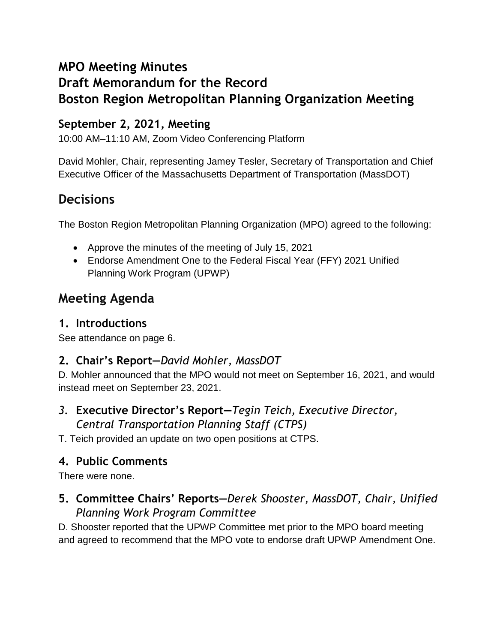## **MPO Meeting Minutes**

# **Draft Memorandum for the Record Boston Region Metropolitan Planning Organization Meeting**

#### **September 2, 2021, Meeting**

10:00 AM–11:10 AM, Zoom Video Conferencing Platform

David Mohler, Chair, representing Jamey Tesler, Secretary of Transportation and Chief Executive Officer of the Massachusetts Department of Transportation (MassDOT)

## **Decisions**

The Boston Region Metropolitan Planning Organization (MPO) agreed to the following:

- Approve the minutes of the meeting of July 15, 2021
- Endorse Amendment One to the Federal Fiscal Year (FFY) 2021 Unified Planning Work Program (UPWP)

## **Meeting Agenda**

#### **1. Introductions**

See attendance on page 6.

#### **2. Chair's Report—***David Mohler, MassDOT*

D. Mohler announced that the MPO would not meet on September 16, 2021, and would instead meet on September 23, 2021.

*3.* **Executive Director's Report—***Tegin Teich, Executive Director, Central Transportation Planning Staff (CTPS)*

T. Teich provided an update on two open positions at CTPS.

#### **4. Public Comments**

There were none.

#### **5. Committee Chairs' Reports—***Derek Shooster, MassDOT, Chair, Unified Planning Work Program Committee*

D. Shooster reported that the UPWP Committee met prior to the MPO board meeting and agreed to recommend that the MPO vote to endorse draft UPWP Amendment One.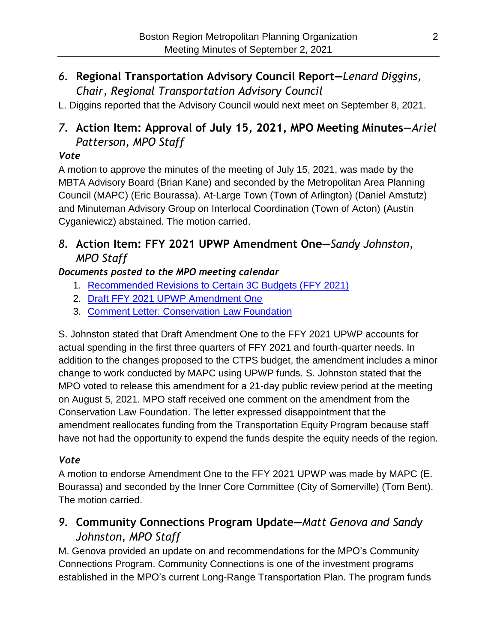#### *6.* **Regional Transportation Advisory Council Report—***Lenard Diggins, Chair, Regional Transportation Advisory Council*

L. Diggins reported that the Advisory Council would next meet on September 8, 2021.

### *7.* **Action Item: Approval of July 15, 2021, MPO Meeting Minutes—***Ariel Patterson, MPO Staff*

#### *Vote*

A motion to approve the minutes of the meeting of July 15, 2021, was made by the MBTA Advisory Board (Brian Kane) and seconded by the Metropolitan Area Planning Council (MAPC) (Eric Bourassa). At-Large Town (Town of Arlington) (Daniel Amstutz) and Minuteman Advisory Group on Interlocal Coordination (Town of Acton) (Austin Cyganiewicz) abstained. The motion carried.

#### *8.* **Action Item: FFY 2021 UPWP Amendment One—***Sandy Johnston, MPO Staff*

#### *Documents posted to the MPO meeting calendar*

- 1. [Recommended Revisions to Certain 3C Budgets \(FFY 2021\)](https://www.bostonmpo.org/data/calendar/pdfs/2021/MPO_0805_Memo_Draft_FFY21_UPWP_Amendment_One.pdf)
- 2. [Draft FFY 2021 UPWP Amendment One](https://www.bostonmpo.org/data/calendar/pdfs/2021/MPO_0805_Draft_FFY21_UPWP_Amendment_One.pdf)
- 3. [Comment Letter: Conservation Law Foundation](https://www.bostonmpo.org/data/calendar/pdfs/2021/MPO_0902_Draft_FFY21_Amendment_One_CLF_Comment_Letter.pdf)

S. Johnston stated that Draft Amendment One to the FFY 2021 UPWP accounts for actual spending in the first three quarters of FFY 2021 and fourth-quarter needs. In addition to the changes proposed to the CTPS budget, the amendment includes a minor change to work conducted by MAPC using UPWP funds. S. Johnston stated that the MPO voted to release this amendment for a 21-day public review period at the meeting on August 5, 2021. MPO staff received one comment on the amendment from the Conservation Law Foundation. The letter expressed disappointment that the amendment reallocates funding from the Transportation Equity Program because staff have not had the opportunity to expend the funds despite the equity needs of the region.

#### *Vote*

A motion to endorse Amendment One to the FFY 2021 UPWP was made by MAPC (E. Bourassa) and seconded by the Inner Core Committee (City of Somerville) (Tom Bent). The motion carried.

### *9.* **Community Connections Program Update—***Matt Genova and Sandy Johnston, MPO Staff*

M. Genova provided an update on and recommendations for the MPO's Community Connections Program. Community Connections is one of the investment programs established in the MPO's current Long-Range Transportation Plan. The program funds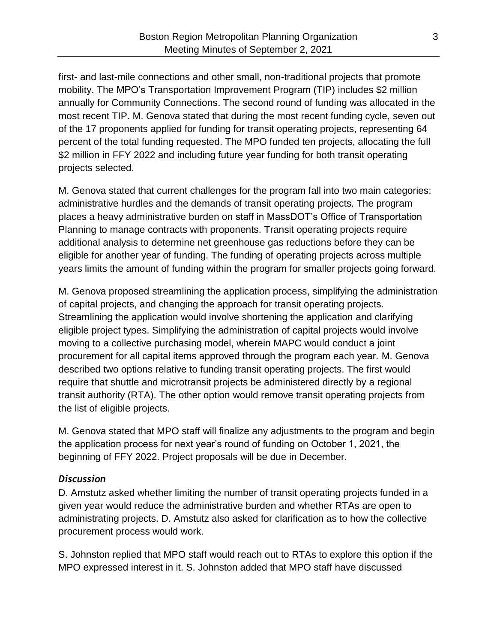first- and last-mile connections and other small, non-traditional projects that promote mobility. The MPO's Transportation Improvement Program (TIP) includes \$2 million annually for Community Connections. The second round of funding was allocated in the most recent TIP. M. Genova stated that during the most recent funding cycle, seven out of the 17 proponents applied for funding for transit operating projects, representing 64 percent of the total funding requested. The MPO funded ten projects, allocating the full \$2 million in FFY 2022 and including future year funding for both transit operating projects selected.

M. Genova stated that current challenges for the program fall into two main categories: administrative hurdles and the demands of transit operating projects. The program places a heavy administrative burden on staff in MassDOT's Office of Transportation Planning to manage contracts with proponents. Transit operating projects require additional analysis to determine net greenhouse gas reductions before they can be eligible for another year of funding. The funding of operating projects across multiple years limits the amount of funding within the program for smaller projects going forward.

M. Genova proposed streamlining the application process, simplifying the administration of capital projects, and changing the approach for transit operating projects. Streamlining the application would involve shortening the application and clarifying eligible project types. Simplifying the administration of capital projects would involve moving to a collective purchasing model, wherein MAPC would conduct a joint procurement for all capital items approved through the program each year. M. Genova described two options relative to funding transit operating projects. The first would require that shuttle and microtransit projects be administered directly by a regional transit authority (RTA). The other option would remove transit operating projects from the list of eligible projects.

M. Genova stated that MPO staff will finalize any adjustments to the program and begin the application process for next year's round of funding on October 1, 2021, the beginning of FFY 2022. Project proposals will be due in December.

#### *Discussion*

D. Amstutz asked whether limiting the number of transit operating projects funded in a given year would reduce the administrative burden and whether RTAs are open to administrating projects. D. Amstutz also asked for clarification as to how the collective procurement process would work.

S. Johnston replied that MPO staff would reach out to RTAs to explore this option if the MPO expressed interest in it. S. Johnston added that MPO staff have discussed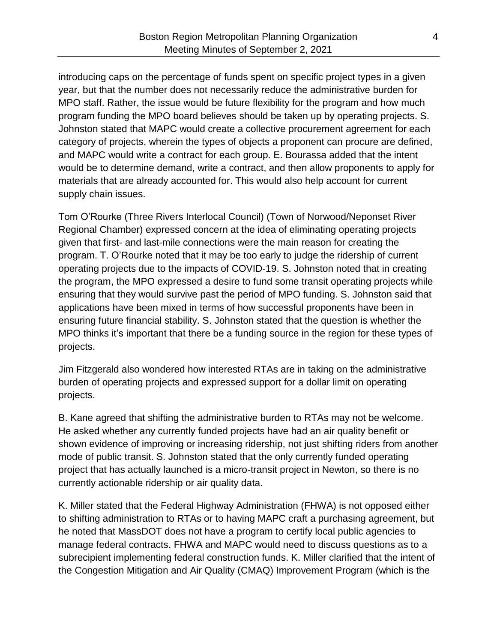introducing caps on the percentage of funds spent on specific project types in a given year, but that the number does not necessarily reduce the administrative burden for MPO staff. Rather, the issue would be future flexibility for the program and how much program funding the MPO board believes should be taken up by operating projects. S. Johnston stated that MAPC would create a collective procurement agreement for each category of projects, wherein the types of objects a proponent can procure are defined, and MAPC would write a contract for each group. E. Bourassa added that the intent would be to determine demand, write a contract, and then allow proponents to apply for materials that are already accounted for. This would also help account for current supply chain issues.

Tom O'Rourke (Three Rivers Interlocal Council) (Town of Norwood/Neponset River Regional Chamber) expressed concern at the idea of eliminating operating projects given that first- and last-mile connections were the main reason for creating the program. T. O'Rourke noted that it may be too early to judge the ridership of current operating projects due to the impacts of COVID-19. S. Johnston noted that in creating the program, the MPO expressed a desire to fund some transit operating projects while ensuring that they would survive past the period of MPO funding. S. Johnston said that applications have been mixed in terms of how successful proponents have been in ensuring future financial stability. S. Johnston stated that the question is whether the MPO thinks it's important that there be a funding source in the region for these types of projects.

Jim Fitzgerald also wondered how interested RTAs are in taking on the administrative burden of operating projects and expressed support for a dollar limit on operating projects.

B. Kane agreed that shifting the administrative burden to RTAs may not be welcome. He asked whether any currently funded projects have had an air quality benefit or shown evidence of improving or increasing ridership, not just shifting riders from another mode of public transit. S. Johnston stated that the only currently funded operating project that has actually launched is a micro-transit project in Newton, so there is no currently actionable ridership or air quality data.

K. Miller stated that the Federal Highway Administration (FHWA) is not opposed either to shifting administration to RTAs or to having MAPC craft a purchasing agreement, but he noted that MassDOT does not have a program to certify local public agencies to manage federal contracts. FHWA and MAPC would need to discuss questions as to a subrecipient implementing federal construction funds. K. Miller clarified that the intent of the Congestion Mitigation and Air Quality (CMAQ) Improvement Program (which is the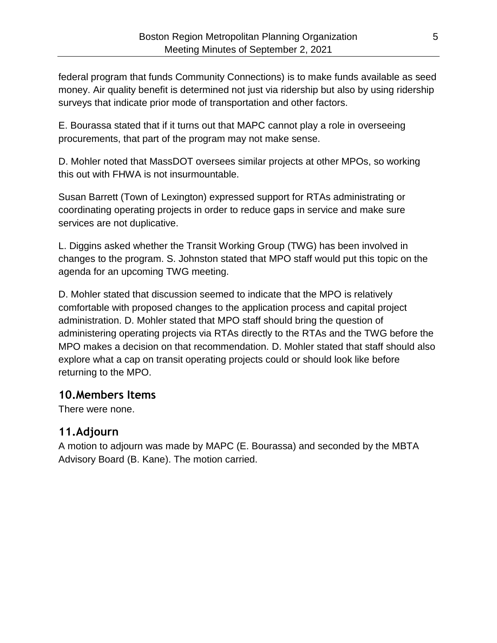federal program that funds Community Connections) is to make funds available as seed money. Air quality benefit is determined not just via ridership but also by using ridership surveys that indicate prior mode of transportation and other factors.

E. Bourassa stated that if it turns out that MAPC cannot play a role in overseeing procurements, that part of the program may not make sense.

D. Mohler noted that MassDOT oversees similar projects at other MPOs, so working this out with FHWA is not insurmountable.

Susan Barrett (Town of Lexington) expressed support for RTAs administrating or coordinating operating projects in order to reduce gaps in service and make sure services are not duplicative.

L. Diggins asked whether the Transit Working Group (TWG) has been involved in changes to the program. S. Johnston stated that MPO staff would put this topic on the agenda for an upcoming TWG meeting.

D. Mohler stated that discussion seemed to indicate that the MPO is relatively comfortable with proposed changes to the application process and capital project administration. D. Mohler stated that MPO staff should bring the question of administering operating projects via RTAs directly to the RTAs and the TWG before the MPO makes a decision on that recommendation. D. Mohler stated that staff should also explore what a cap on transit operating projects could or should look like before returning to the MPO.

#### **10.Members Items**

There were none.

#### **11.Adjourn**

A motion to adjourn was made by MAPC (E. Bourassa) and seconded by the MBTA Advisory Board (B. Kane). The motion carried.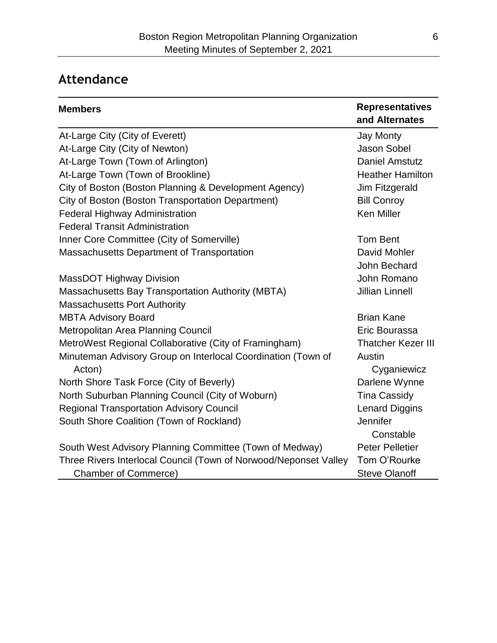## **Attendance**

| <b>Members</b>                                                   | <b>Representatives</b><br>and Alternates |
|------------------------------------------------------------------|------------------------------------------|
| At-Large City (City of Everett)                                  | <b>Jay Monty</b>                         |
| At-Large City (City of Newton)                                   | <b>Jason Sobel</b>                       |
| At-Large Town (Town of Arlington)                                | <b>Daniel Amstutz</b>                    |
| At-Large Town (Town of Brookline)                                | <b>Heather Hamilton</b>                  |
| City of Boston (Boston Planning & Development Agency)            | Jim Fitzgerald                           |
| City of Boston (Boston Transportation Department)                | <b>Bill Conroy</b>                       |
| <b>Federal Highway Administration</b>                            | <b>Ken Miller</b>                        |
| <b>Federal Transit Administration</b>                            |                                          |
| Inner Core Committee (City of Somerville)                        | <b>Tom Bent</b>                          |
| <b>Massachusetts Department of Transportation</b>                | David Mohler                             |
|                                                                  | John Bechard                             |
| <b>MassDOT Highway Division</b>                                  | John Romano                              |
| <b>Massachusetts Bay Transportation Authority (MBTA)</b>         | <b>Jillian Linnell</b>                   |
| <b>Massachusetts Port Authority</b>                              |                                          |
| <b>MBTA Advisory Board</b>                                       | <b>Brian Kane</b>                        |
| Metropolitan Area Planning Council                               | Eric Bourassa                            |
| MetroWest Regional Collaborative (City of Framingham)            | <b>Thatcher Kezer III</b>                |
| Minuteman Advisory Group on Interlocal Coordination (Town of     | Austin                                   |
| Acton)                                                           | Cyganiewicz                              |
| North Shore Task Force (City of Beverly)                         | Darlene Wynne                            |
| North Suburban Planning Council (City of Woburn)                 | <b>Tina Cassidy</b>                      |
| <b>Regional Transportation Advisory Council</b>                  | <b>Lenard Diggins</b>                    |
| South Shore Coalition (Town of Rockland)                         | Jennifer                                 |
|                                                                  | Constable                                |
| South West Advisory Planning Committee (Town of Medway)          | <b>Peter Pelletier</b>                   |
| Three Rivers Interlocal Council (Town of Norwood/Neponset Valley | Tom O'Rourke                             |
| <b>Chamber of Commerce)</b>                                      | <b>Steve Olanoff</b>                     |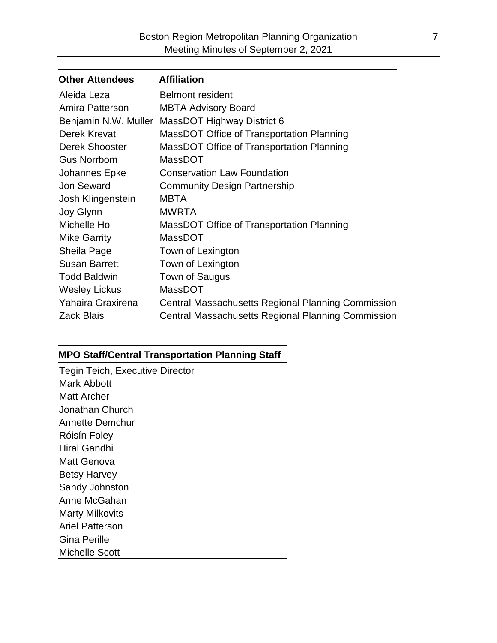| <b>Other Attendees</b> | <b>Affiliation</b>                                        |
|------------------------|-----------------------------------------------------------|
| Aleida Leza            | <b>Belmont resident</b>                                   |
| Amira Patterson        | <b>MBTA Advisory Board</b>                                |
| Benjamin N.W. Muller   | MassDOT Highway District 6                                |
| Derek Krevat           | MassDOT Office of Transportation Planning                 |
| <b>Derek Shooster</b>  | MassDOT Office of Transportation Planning                 |
| <b>Gus Norrbom</b>     | <b>MassDOT</b>                                            |
| Johannes Epke          | <b>Conservation Law Foundation</b>                        |
| <b>Jon Seward</b>      | <b>Community Design Partnership</b>                       |
| Josh Klingenstein      | <b>MBTA</b>                                               |
| Joy Glynn              | <b>MWRTA</b>                                              |
| Michelle Ho            | MassDOT Office of Transportation Planning                 |
| <b>Mike Garrity</b>    | <b>MassDOT</b>                                            |
| Sheila Page            | Town of Lexington                                         |
| <b>Susan Barrett</b>   | Town of Lexington                                         |
| <b>Todd Baldwin</b>    | Town of Saugus                                            |
| <b>Wesley Lickus</b>   | <b>MassDOT</b>                                            |
| Yahaira Graxirena      | Central Massachusetts Regional Planning Commission        |
| <b>Zack Blais</b>      | <b>Central Massachusetts Regional Planning Commission</b> |

#### **MPO Staff/Central Transportation Planning Staff**

| <b>Tegin Teich, Executive Director</b> |
|----------------------------------------|
| Mark Abbott                            |
| Matt Archer                            |
| Jonathan Church                        |
| Annette Demchur                        |
| Róisín Foley                           |
| Hiral Gandhi                           |
| Matt Genova                            |
| <b>Betsy Harvey</b>                    |
| Sandy Johnston                         |
| Anne McGahan                           |
| Marty Milkovits                        |
| Ariel Patterson                        |
| Gina Perille                           |
| Michelle Scott                         |